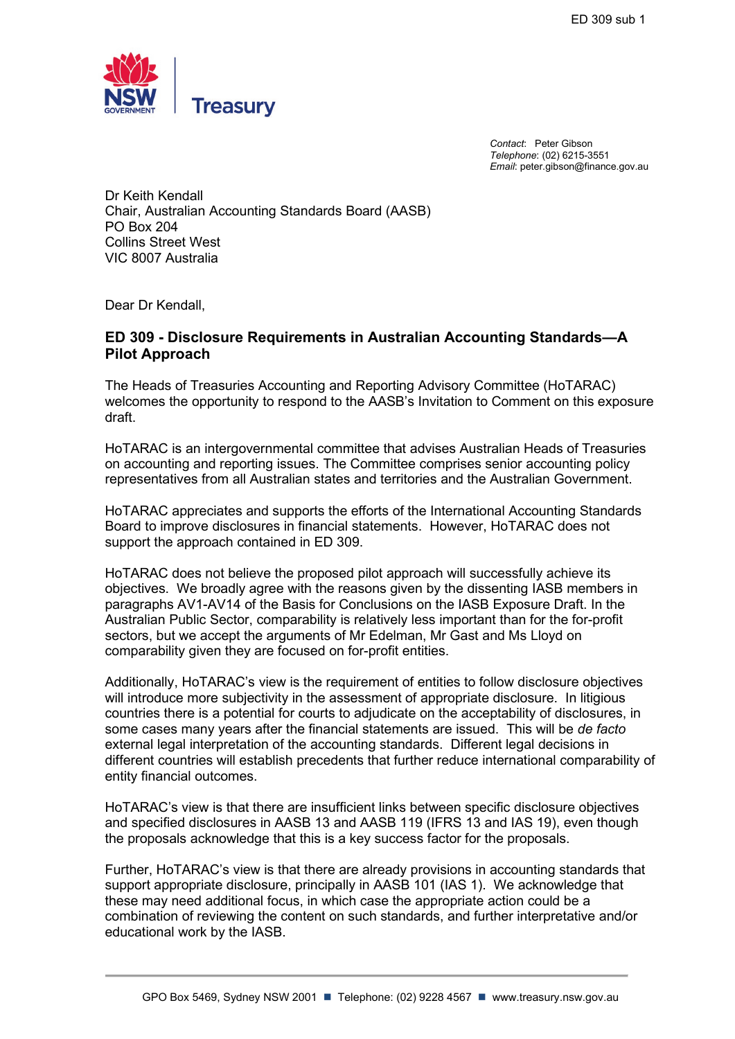

*Contact*: Peter Gibson *Telephone*: (02) 6215-3551 *Email*: peter.gibson@finance.gov.au

Dr Keith Kendall Chair, Australian Accounting Standards Board (AASB) PO Box 204 Collins Street West VIC 8007 Australia

Dear Dr Kendall,

## **ED 309 - Disclosure Requirements in Australian Accounting Standards—A Pilot Approach**

The Heads of Treasuries Accounting and Reporting Advisory Committee (HoTARAC) welcomes the opportunity to respond to the AASB's Invitation to Comment on this exposure draft.

HoTARAC is an intergovernmental committee that advises Australian Heads of Treasuries on accounting and reporting issues. The Committee comprises senior accounting policy representatives from all Australian states and territories and the Australian Government.

HoTARAC appreciates and supports the efforts of the International Accounting Standards Board to improve disclosures in financial statements. However, HoTARAC does not support the approach contained in ED 309.

HoTARAC does not believe the proposed pilot approach will successfully achieve its objectives. We broadly agree with the reasons given by the dissenting IASB members in paragraphs AV1-AV14 of the Basis for Conclusions on the IASB Exposure Draft. In the Australian Public Sector, comparability is relatively less important than for the for-profit sectors, but we accept the arguments of Mr Edelman, Mr Gast and Ms Lloyd on comparability given they are focused on for-profit entities.

Additionally, HoTARAC's view is the requirement of entities to follow disclosure objectives will introduce more subjectivity in the assessment of appropriate disclosure. In litigious countries there is a potential for courts to adjudicate on the acceptability of disclosures, in some cases many years after the financial statements are issued. This will be *de facto* external legal interpretation of the accounting standards. Different legal decisions in different countries will establish precedents that further reduce international comparability of entity financial outcomes.

HoTARAC's view is that there are insufficient links between specific disclosure objectives and specified disclosures in AASB 13 and AASB 119 (IFRS 13 and IAS 19), even though the proposals acknowledge that this is a key success factor for the proposals.

Further, HoTARAC's view is that there are already provisions in accounting standards that support appropriate disclosure, principally in AASB 101 (IAS 1). We acknowledge that these may need additional focus, in which case the appropriate action could be a combination of reviewing the content on such standards, and further interpretative and/or educational work by the IASB.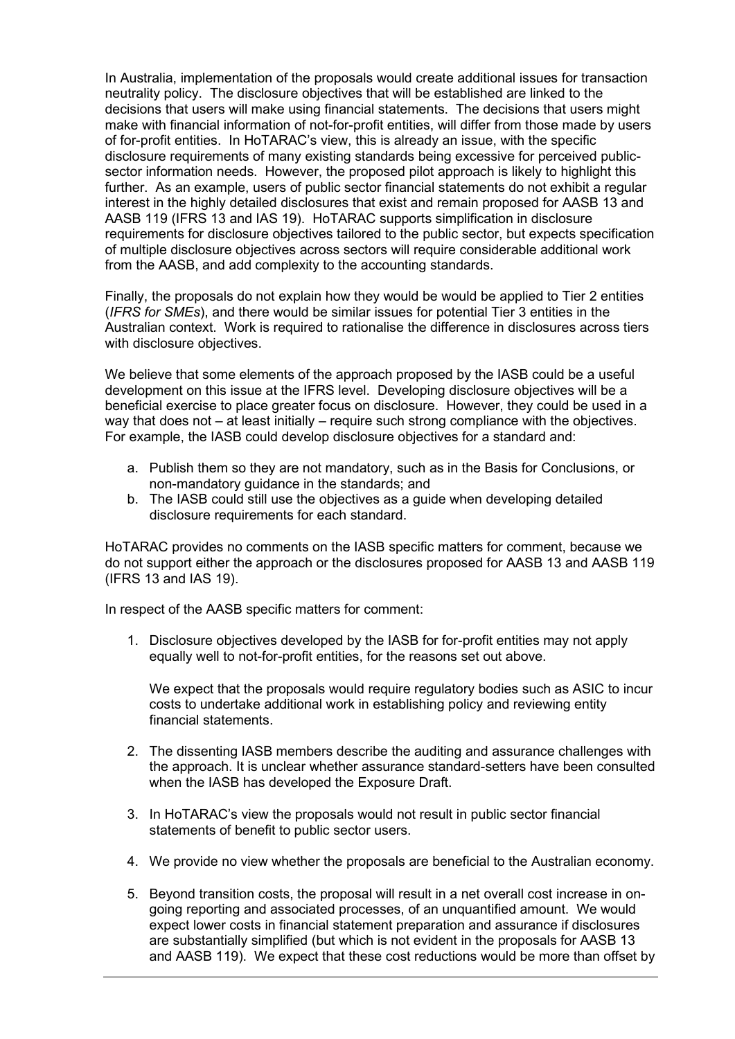In Australia, implementation of the proposals would create additional issues for transaction neutrality policy. The disclosure objectives that will be established are linked to the decisions that users will make using financial statements. The decisions that users might make with financial information of not-for-profit entities, will differ from those made by users of for-profit entities. In HoTARAC's view, this is already an issue, with the specific disclosure requirements of many existing standards being excessive for perceived publicsector information needs. However, the proposed pilot approach is likely to highlight this further. As an example, users of public sector financial statements do not exhibit a regular interest in the highly detailed disclosures that exist and remain proposed for AASB 13 and AASB 119 (IFRS 13 and IAS 19). HoTARAC supports simplification in disclosure requirements for disclosure objectives tailored to the public sector, but expects specification of multiple disclosure objectives across sectors will require considerable additional work from the AASB, and add complexity to the accounting standards.

Finally, the proposals do not explain how they would be would be applied to Tier 2 entities (*IFRS for SMEs*), and there would be similar issues for potential Tier 3 entities in the Australian context. Work is required to rationalise the difference in disclosures across tiers with disclosure objectives.

We believe that some elements of the approach proposed by the IASB could be a useful development on this issue at the IFRS level. Developing disclosure objectives will be a beneficial exercise to place greater focus on disclosure. However, they could be used in a way that does not – at least initially – require such strong compliance with the objectives. For example, the IASB could develop disclosure objectives for a standard and:

- a. Publish them so they are not mandatory, such as in the Basis for Conclusions, or non-mandatory guidance in the standards; and
- b. The IASB could still use the objectives as a guide when developing detailed disclosure requirements for each standard.

HoTARAC provides no comments on the IASB specific matters for comment, because we do not support either the approach or the disclosures proposed for AASB 13 and AASB 119 (IFRS 13 and IAS 19).

In respect of the AASB specific matters for comment:

1. Disclosure objectives developed by the IASB for for-profit entities may not apply equally well to not-for-profit entities, for the reasons set out above.

We expect that the proposals would require regulatory bodies such as ASIC to incur costs to undertake additional work in establishing policy and reviewing entity financial statements.

- 2. The dissenting IASB members describe the auditing and assurance challenges with the approach. It is unclear whether assurance standard-setters have been consulted when the IASB has developed the Exposure Draft.
- 3. In HoTARAC's view the proposals would not result in public sector financial statements of benefit to public sector users.
- 4. We provide no view whether the proposals are beneficial to the Australian economy.
- 5. Beyond transition costs, the proposal will result in a net overall cost increase in ongoing reporting and associated processes, of an unquantified amount. We would expect lower costs in financial statement preparation and assurance if disclosures are substantially simplified (but which is not evident in the proposals for AASB 13 and AASB 119). We expect that these cost reductions would be more than offset by